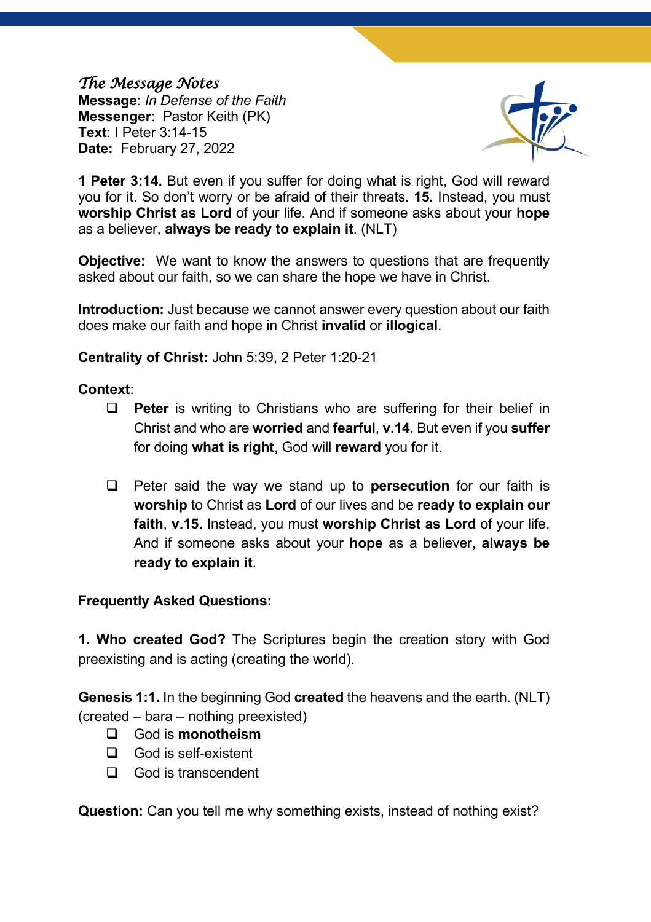## *The Message Notes*

**Message**: *In Defense of the Faith* **Messenger**: Pastor Keith (PK) **Text**: I Peter 3:14-15 **Date:** February 27, 2022



**1 Peter 3:14.** But even if you suffer for doing what is right, God will reward you for it. So don't worry or be afraid of their threats. **15.** Instead, you must **worship Christ as Lord** of your life. And if someone asks about your **hope** as a believer, **always be ready to explain it**. (NLT)

**Objective:** We want to know the answers to questions that are frequently asked about our faith, so we can share the hope we have in Christ.

**Introduction:** Just because we cannot answer every question about our faith does make our faith and hope in Christ **invalid** or **illogical**.

**Centrality of Christ:** John 5:39, 2 Peter 1:20-21

## **Context**:

- **Q Peter** is writing to Christians who are suffering for their belief in Christ and who are **worried** and **fearful**, **v.14**. But even if you **suffer** for doing **what is right**, God will **reward** you for it.
- q Peter said the way we stand up to **persecution** for our faith is **worship** to Christ as **Lord** of our lives and be **ready to explain our faith**, **v.15.** Instead, you must **worship Christ as Lord** of your life. And if someone asks about your **hope** as a believer, **always be ready to explain it**.

## **Frequently Asked Questions:**

**1. Who created God?** The Scriptures begin the creation story with God preexisting and is acting (creating the world).

**Genesis 1:1.** In the beginning God **created** the heavens and the earth. (NLT) (created – bara – nothing preexisted)

- q God is **monotheism**
- $\Box$  God is self-existent
- $\Box$  God is transcendent

**Question:** Can you tell me why something exists, instead of nothing exist?